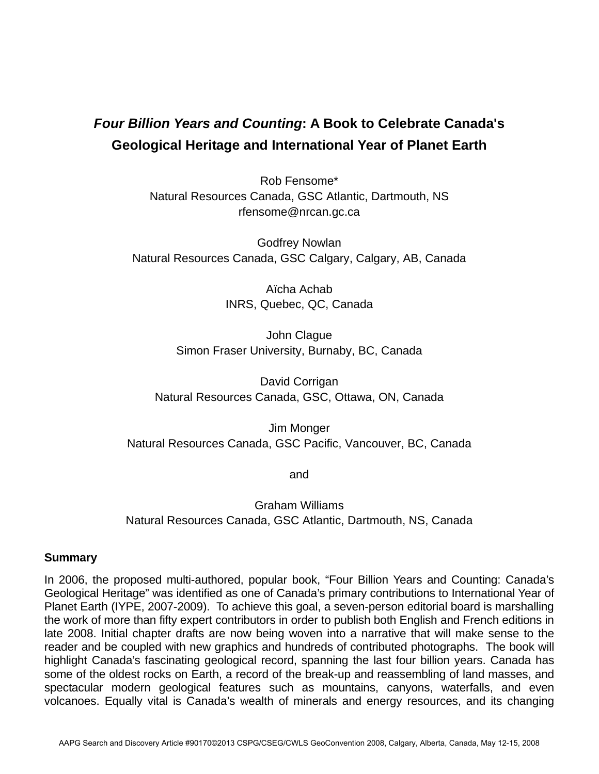## *Four Billion Years and Counting***: A Book to Celebrate Canada's Geological Heritage and International Year of Planet Earth**

Rob Fensome\* Natural Resources Canada, GSC Atlantic, Dartmouth, NS rfensome@nrcan.gc.ca

Godfrey Nowlan Natural Resources Canada, GSC Calgary, Calgary, AB, Canada

> Aïcha Achab INRS, Quebec, QC, Canada

John Clague Simon Fraser University, Burnaby, BC, Canada

David Corrigan Natural Resources Canada, GSC, Ottawa, ON, Canada

Jim Monger Natural Resources Canada, GSC Pacific, Vancouver, BC, Canada

and

Graham Williams Natural Resources Canada, GSC Atlantic, Dartmouth, NS, Canada

## **Summary**

In 2006, the proposed multi-authored, popular book, "Four Billion Years and Counting: Canada's Geological Heritage" was identified as one of Canada's primary contributions to International Year of Planet Earth (IYPE, 2007-2009). To achieve this goal, a seven-person editorial board is marshalling the work of more than fifty expert contributors in order to publish both English and French editions in late 2008. Initial chapter drafts are now being woven into a narrative that will make sense to the reader and be coupled with new graphics and hundreds of contributed photographs. The book will highlight Canada's fascinating geological record, spanning the last four billion years. Canada has some of the oldest rocks on Earth, a record of the break-up and reassembling of land masses, and spectacular modern geological features such as mountains, canyons, waterfalls, and even volcanoes. Equally vital is Canada's wealth of minerals and energy resources, and its changing